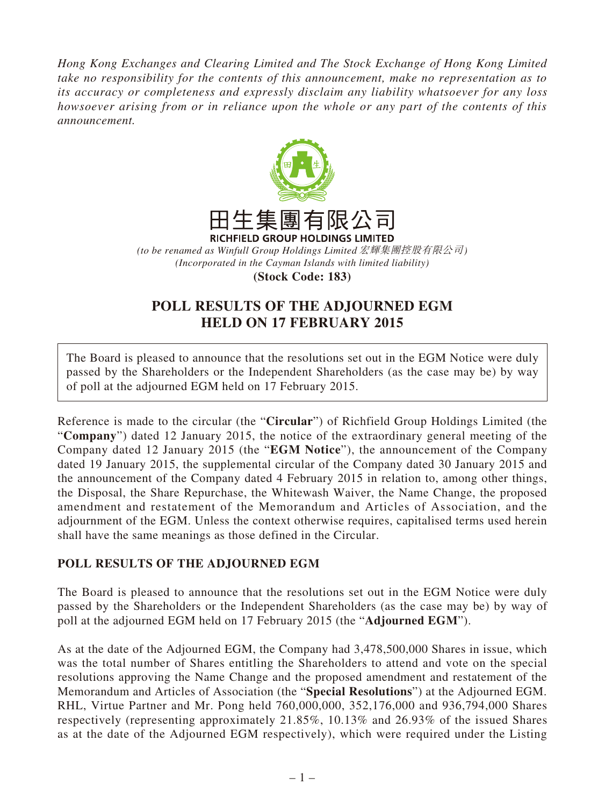*Hong Kong Exchanges and Clearing Limited and The Stock Exchange of Hong Kong Limited take no responsibility for the contents of this announcement, make no representation as to its accuracy or completeness and expressly disclaim any liability whatsoever for any loss howsoever arising from or in reliance upon the whole or any part of the contents of this announcement.*



*(to be renamed as Winfull Group Holdings Limited* 宏輝集團控股有限公司*) (Incorporated in the Cayman Islands with limited liability)*

**(Stock Code: 183)**

## **POLL RESULTS OF THE ADJOURNED EGM HELD ON 17 FEBRUARY 2015**

The Board is pleased to announce that the resolutions set out in the EGM Notice were duly passed by the Shareholders or the Independent Shareholders (as the case may be) by way of poll at the adjourned EGM held on 17 February 2015.

Reference is made to the circular (the "**Circular**") of Richfield Group Holdings Limited (the "**Company**") dated 12 January 2015, the notice of the extraordinary general meeting of the Company dated 12 January 2015 (the "**EGM Notice**"), the announcement of the Company dated 19 January 2015, the supplemental circular of the Company dated 30 January 2015 and the announcement of the Company dated 4 February 2015 in relation to, among other things, the Disposal, the Share Repurchase, the Whitewash Waiver, the Name Change, the proposed amendment and restatement of the Memorandum and Articles of Association, and the adjournment of the EGM. Unless the context otherwise requires, capitalised terms used herein shall have the same meanings as those defined in the Circular.

## **POLL RESULTS OF THE ADJOURNED EGM**

The Board is pleased to announce that the resolutions set out in the EGM Notice were duly passed by the Shareholders or the Independent Shareholders (as the case may be) by way of poll at the adjourned EGM held on 17 February 2015 (the "**Adjourned EGM**").

As at the date of the Adjourned EGM, the Company had 3,478,500,000 Shares in issue, which was the total number of Shares entitling the Shareholders to attend and vote on the special resolutions approving the Name Change and the proposed amendment and restatement of the Memorandum and Articles of Association (the "**Special Resolutions**") at the Adjourned EGM. RHL, Virtue Partner and Mr. Pong held 760,000,000, 352,176,000 and 936,794,000 Shares respectively (representing approximately 21.85%, 10.13% and 26.93% of the issued Shares as at the date of the Adjourned EGM respectively), which were required under the Listing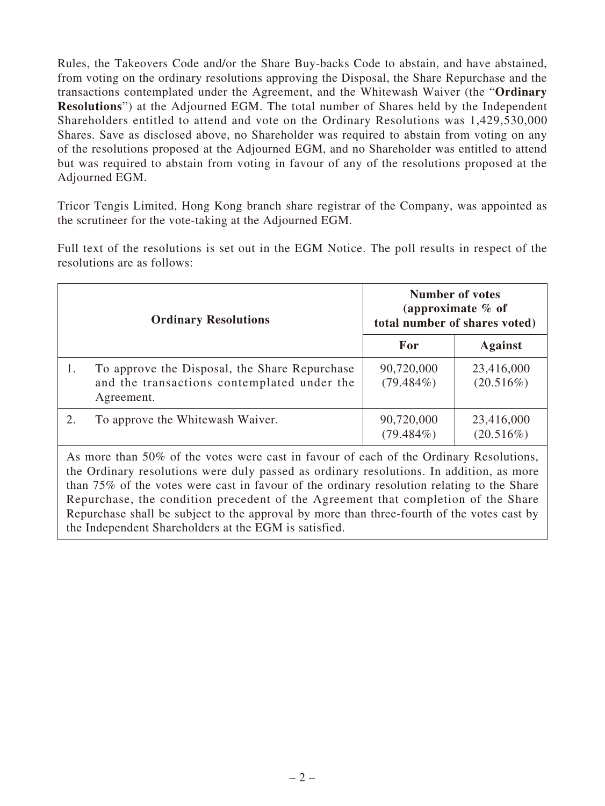Rules, the Takeovers Code and/or the Share Buy-backs Code to abstain, and have abstained, from voting on the ordinary resolutions approving the Disposal, the Share Repurchase and the transactions contemplated under the Agreement, and the Whitewash Waiver (the "**Ordinary Resolutions**") at the Adjourned EGM. The total number of Shares held by the Independent Shareholders entitled to attend and vote on the Ordinary Resolutions was 1,429,530,000 Shares. Save as disclosed above, no Shareholder was required to abstain from voting on any of the resolutions proposed at the Adjourned EGM, and no Shareholder was entitled to attend but was required to abstain from voting in favour of any of the resolutions proposed at the Adjourned EGM.

Tricor Tengis Limited, Hong Kong branch share registrar of the Company, was appointed as the scrutineer for the vote-taking at the Adjourned EGM.

Full text of the resolutions is set out in the EGM Notice. The poll results in respect of the resolutions are as follows:

|  | <b>Ordinary Resolutions</b>                                                                                | <b>Number of votes</b><br>(approximate $%$ of<br>total number of shares voted) |                            |
|--|------------------------------------------------------------------------------------------------------------|--------------------------------------------------------------------------------|----------------------------|
|  |                                                                                                            | For                                                                            | <b>Against</b>             |
|  | To approve the Disposal, the Share Repurchase<br>and the transactions contemplated under the<br>Agreement. | 90,720,000<br>$(79.484\%)$                                                     | 23,416,000<br>$(20.516\%)$ |
|  | To approve the Whitewash Waiver.                                                                           | 90,720,000<br>$(79.484\%)$                                                     | 23,416,000<br>(20.516%)    |

As more than 50% of the votes were cast in favour of each of the Ordinary Resolutions, the Ordinary resolutions were duly passed as ordinary resolutions. In addition, as more than 75% of the votes were cast in favour of the ordinary resolution relating to the Share Repurchase, the condition precedent of the Agreement that completion of the Share Repurchase shall be subject to the approval by more than three-fourth of the votes cast by the Independent Shareholders at the EGM is satisfied.